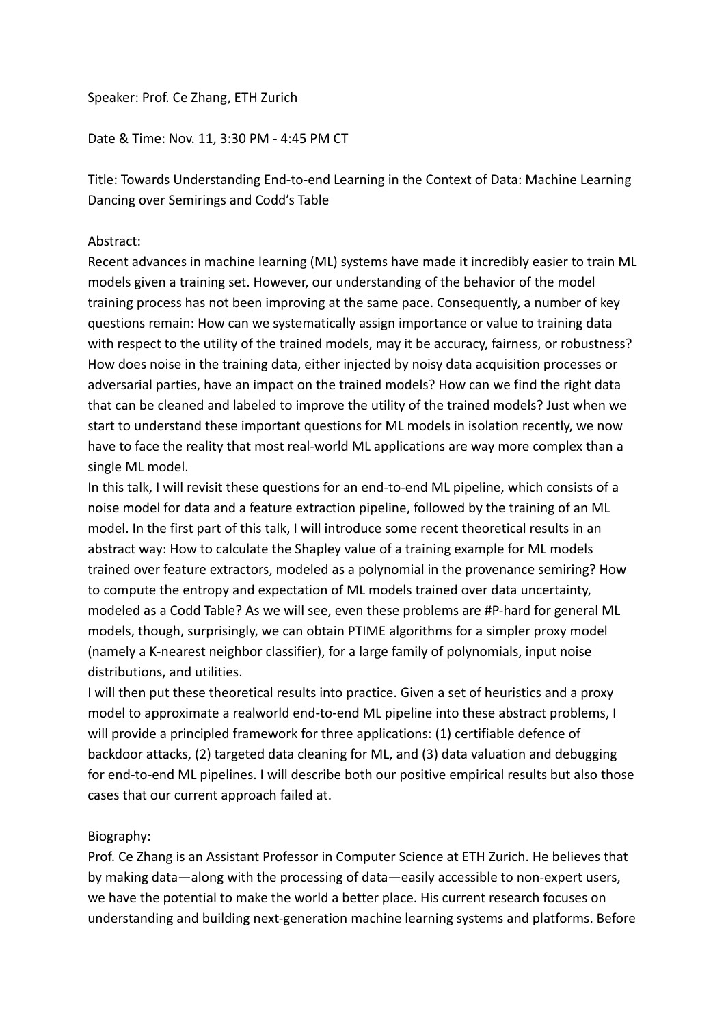## Speaker: Prof. Ce Zhang, ETH Zurich

## Date & Time: Nov. 11, 3:30 PM - 4:45 PM CT

Title: Towards Understanding End-to-end Learning in the Context of Data: Machine Learning Dancing over Semirings and Codd's Table

## Abstract:

Recent advances in machine learning (ML) systems have made it incredibly easier to train ML models given a training set. However, our understanding of the behavior of the model training process has not been improving at the same pace. Consequently, a number of key questions remain: How can we systematically assign importance or value to training data with respect to the utility of the trained models, may it be accuracy, fairness, or robustness? How does noise in the training data, either injected by noisy data acquisition processes or adversarial parties, have an impact on the trained models? How can we find the right data that can be cleaned and labeled to improve the utility of the trained models? Just when we start to understand these important questions for ML models in isolation recently, we now have to face the reality that most real-world ML applications are way more complex than a single ML model.

In this talk, I will revisit these questions for an end-to-end ML pipeline, which consists of a noise model for data and a feature extraction pipeline, followed by the training of an ML model. In the first part of this talk, I will introduce some recent theoretical results in an abstract way: How to calculate the Shapley value of a training example for ML models trained over feature extractors, modeled as a polynomial in the provenance semiring? How to compute the entropy and expectation of ML models trained over data uncertainty, modeled as a Codd Table? As we will see, even these problems are #P-hard for general ML models, though, surprisingly, we can obtain PTIME algorithms for a simpler proxy model (namely a K-nearest neighbor classifier), for a large family of polynomials, input noise distributions, and utilities.

I will then put these theoretical results into practice. Given a set of heuristics and a proxy model to approximate a realworld end-to-end ML pipeline into these abstract problems, I will provide a principled framework for three applications: (1) certifiable defence of backdoor attacks, (2) targeted data cleaning for ML, and (3) data valuation and debugging for end-to-end ML pipelines. I will describe both our positive empirical results but also those cases that our current approach failed at.

## Biography:

Prof. Ce Zhang is an Assistant Professor in Computer Science at ETH Zurich. He believes that by making data—along with the processing of data—easily accessible to non-expert users, we have the potential to make the world a better place. His current research focuses on understanding and building next-generation machine learning systems and platforms. Before